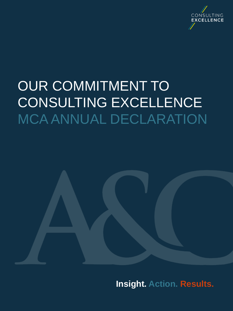

# OUR COMMITMENT TO CONSULTING EXCELLENCE MCA ANNUAL DECLARATION

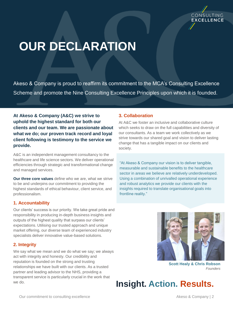

## **OUR DECLARATION**

Akeso & Company is proud to reaffirm its commitment to the MCA's Consulting Excellence Scheme and promote the Nine Consulting Excellence Principles upon which it is founded.

**At Akeso & Company (A&C) we strive to uphold the highest standard for both our clients and our team. We are passionate about what we do; our proven track record and loyal client following is testimony to the service we provide.** 

A&C is an independent management consultancy to the healthcare and life science sectors. We deliver operational efficiencies through strategic and transformational change and managed services.

**Our three core values** define who we are, what we strive to be and underpins our commitment to providing the highest standards of ethical behaviour, client service, and professionalism.

#### **1. Accountability**

Our clients' success is our priority. We take great pride and responsibility in producing in-depth business insights and outputs of the highest quality that surpass our clients' expectations. Utilising our trusted approach and unique market offering, our diverse team of experienced industry specialists deliver innovative value-based solutions.

#### **2. Integrity**

We say what we mean and we do what we say; we always act with integrity and honesty. Our credibility and reputation is founded on the strong and trusting relationships we have built with our clients. As a trusted partner and leading advisor to the NHS, providing a transparent service is particularly crucial in the work that we do.

#### **3. Collaboration**

At A&C we foster an inclusive and collaborative culture which seeks to draw on the full capabilities and diversity of our consultants. As a team we work collectively as we strive towards our shared goal and vision to deliver lasting change that has a tangible impact on our clients and society.

"At Akeso & Company our vision is to deliver tangible, measurable and sustainable benefits to the healthcare sector in areas we believe are relatively underdeveloped. Using a combination of unrivalled operational experience and robust analytics we provide our clients with the insights required to translate organisational goals into frontline reality."



**Scott Healy & Chris Robson** *Founders*

**Insight. Action. Results.**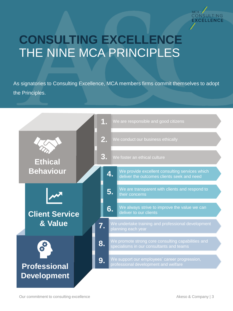

### **CONSULTING EXCELLENCE** THE NINE MCA PRINCIPLES

As signatories to Consulting Excellence, MCA members firms commit themselves to adopt the Principles.

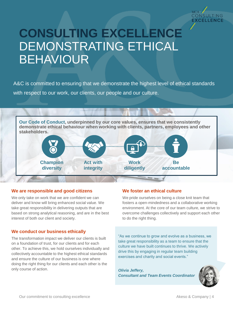

### **CONSULTING EXCELLENCE** DEMONSTRATING ETHICAL BEHAVIOUR

A&C is committed to ensuring that we demonstrate the highest level of ethical standards with respect to our work, our clients, our people and our culture.



#### **We are responsible and good citizens**

We only take on work that we are confident we can deliver and know will bring enhanced social value. We take great responsibility in delivering outputs that are based on strong analytical reasoning, and are in the best interest of both our client and society.

#### **We conduct our business ethically**

The transformation impact we deliver our clients is built on a foundation of trust, for our clients and for each other. To achieve this, we hold ourselves individually and collectively accountable to the highest ethical standards and ensure the culture of our business is one where doing the right thing for our clients and each other is the only course of action.

#### **We foster an ethical culture**

We pride ourselves on being a close knit team that fosters a open-mindedness and a collaborative working environment. At the core of our team culture, we strive to overcome challenges collectively and support each other to do the right thing.

"As we continue to grow and evolve as a business, we take great responsibility as a team to ensure that the culture we have built continues to thrive. We actively drive this by engaging in regular team building exercises and charity and social events."

*Olivia Jeffery, Consultant and Team Events Coordinator* 

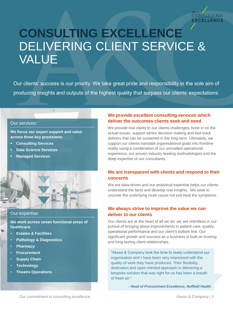

### **CONSULTING EXCELLENCE** DELIVERING CLIENT SERVICE & VALUE

Our clients' success is our priority. We take great pride and responsibility in the sole aim of producing insights and outputs of the highest quality that surpass our clients' expectations.

#### Our services:

**We focus our expert support and value across three key provisions:**

- **Consulting Services**
- **Data Science Services**
- **Managed Services**



#### Our expertise:

**We work across seven functional areas of healthcare:**

- **Estates & Facilities**
- **Pathology & Diagnostics**
- **Pharmacy**
- **Procurement**
- **Supply Chain**
- **Technology**
- **Theatre Operations**

#### **We provide excellent consulting services which deliver the outcomes clients seek and need**

We provide real clarity to our clients challenges, hone in on the actual issues, support senior decision-making and fast-track delivery that can be sustained in the long term. Ultimately, we support our clients translate organisational goals into frontline reality using a combination of our unrivalled operational experience, our proven industry leading methodologies and the deep expertise of our consultants.

#### **We are transparent with clients and respond to their concerns**

We are data-driven and our analytical expertise helps our clients understand the facts and develop real insights. We seek to uncover the underlying route cause not just treat the symptoms.

#### **We always strive to improve the value we can deliver to our clients**

Our clients are at the heart of all we do; we are relentless in our pursuit of bringing about improvements in patient care, quality, operational performance and our client's bottom line. Our significant growth and success as a business is built on trusting and long-lasting client relationships.

"Akeso & Company took the time to really understand our organisation and I have been very impressed with the quality of work they have produced. Their flexibility, dedication and open-minded approach in delivering a bespoke solution that was right for us has been a breath of fresh air."

*- Head of Procurement Excellence, Nuffield Health*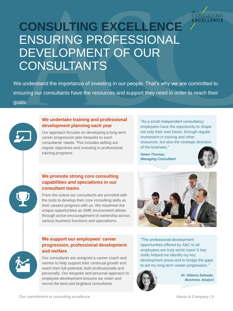

### **CONSULTING EXCELLENCE**  ENSURING PROFESSIONAL DEVELOPMENT OF OUR CONSULTANTS

We understand the importance of investing in our people. That's why we are committed to ensuring our consultants have the resources and support they need in order to reach their goals.

#### **We undertake training and professional development planning each year**

Our approach focuses on developing a long-term career progression plan bespoke to each consultants' needs. This includes setting out regular objectives and investing in professional training programs.

"As a small independent consultancy employees have the opportunity to shape not only their own future, through regular investment in training and other resources, but also the strategic direction of the business."

*Owen Thomas, Managing Consultant*



#### **We promote strong core consulting capabilities and specialisms in our consultant teams**

From the outset our consultants are provided with the tools to develop their core consulting skills as their careers progress with us. We maximise the unique opportunities an SME environment allows through active encouragement of ownership across various business functions and specialisms.



#### **We support our employees' career progression, professional development and welfare**

Our consultants are assigned a career coach and mentor to help support their continual growth and reach their full potential, both professionally and personally. Our bespoke and personal approach to employee development ensures we retain and recruit the best and brightest consultants.

"The professional development opportunities offered by A&C to all employees are truly world class! It has really helped me identify my key development areas and to bridge the gaps to aid my long term career progression."



*Dr. Débora Salvado, Business Analyst*